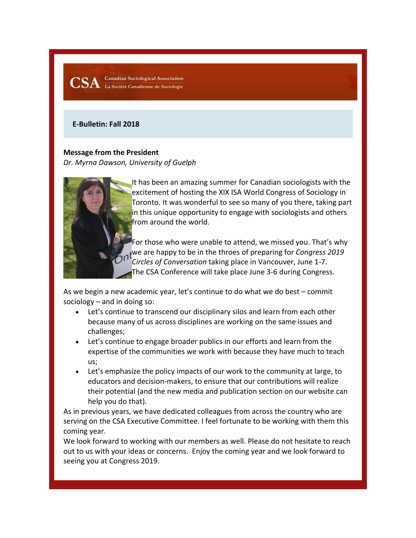**Canadian Sociological Association** CSA Canadian Sociological Association

## **E-Bulletin: Fall 2018**

## **Message from the President**

*Dr. Myrna Dawson, University of Guelph*



It has been an amazing summer for Canadian sociologists with the excitement of hosting the XIX ISA World Congress of Sociology in Toronto. It was wonderful to see so many of you there, taking part in this unique opportunity to engage with sociologists and others from around the world.

For those who were unable to attend, we missed you. That's why we are happy to be in the throes of preparing for *Congress 2019 Circles of Conversation* taking place in Vancouver, June 1-7. The CSA Conference will take place June 3-6 during Congress.

As we begin a new academic year, let's continue to do what we do best – commit sociology – and in doing so:

- Let's continue to transcend our disciplinary silos and learn from each other because many of us across disciplines are working on the same issues and challenges;
- Let's continue to engage broader publics in our efforts and learn from the expertise of the communities we work with because they have much to teach us;
- Let's emphasize the policy impacts of our work to the community at large, to educators and decision-makers, to ensure that our contributions will realize their potential (and the new media and publication section on our website can help you do that).

As in previous years, we have dedicated colleagues from across the country who are serving on the CSA Executive Committee. I feel fortunate to be working with them this coming year.

We look forward to working with our members as well. Please do not hesitate to reach out to us with your ideas or concerns. Enjoy the coming year and we look forward to seeing you at Congress 2019.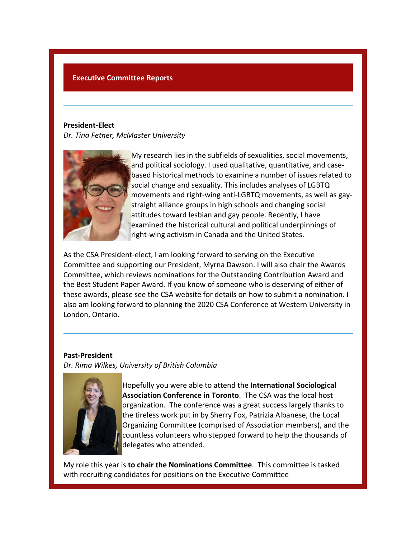## **Executive Committee Reports**

#### **President-Elect**

*Dr. Tina Fetner, McMaster University*



My research lies in the subfields of sexualities, social movements, and political sociology. I used qualitative, quantitative, and casebased historical methods to examine a number of issues related to social change and sexuality. This includes analyses of LGBTQ movements and right-wing anti-LGBTQ movements, as well as gaystraight alliance groups in high schools and changing social attitudes toward lesbian and gay people. Recently, I have examined the historical cultural and political underpinnings of right-wing activism in Canada and the United States.

As the CSA President-elect, I am looking forward to serving on the Executive Committee and supporting our President, Myrna Dawson. I will also chair the Awards Committee, which reviews nominations for the Outstanding Contribution Award and the Best Student Paper Award. If you know of someone who is deserving of either of these awards, please see the CSA website for details on how to submit a nomination. I also am looking forward to planning the 2020 CSA Conference at Western University in London, Ontario.

## **Past-President**

*Dr. Rima Wilkes, University of British Columbia*



Hopefully you were able to attend the **International Sociological Association Conference in Toronto**. The CSA was the local host organization. The conference was a great success largely thanks to the tireless work put in by Sherry Fox, Patrizia Albanese, the Local Organizing Committee (comprised of Association members), and the countless volunteers who stepped forward to help the thousands of delegates who attended.

My role this year is **to chair the Nominations Committee**. This committee is tasked with recruiting candidates for positions on the Executive Committee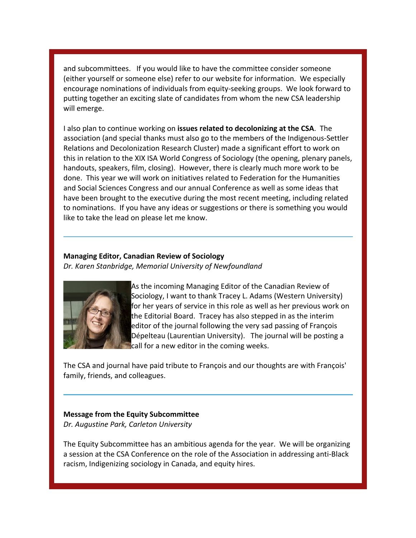and subcommittees. If you would like to have the committee consider someone (either yourself or someone else) refer to our website for information. We especially encourage nominations of individuals from equity-seeking groups. We look forward to putting together an exciting slate of candidates from whom the new CSA leadership will emerge.

I also plan to continue working on **issues related to decolonizing at the CSA**. The association (and special thanks must also go to the members of the Indigenous-Settler Relations and Decolonization Research Cluster) made a significant effort to work on this in relation to the XIX ISA World Congress of Sociology (the opening, plenary panels, handouts, speakers, film, closing). However, there is clearly much more work to be done. This year we will work on initiatives related to Federation for the Humanities and Social Sciences Congress and our annual Conference as well as some ideas that have been brought to the executive during the most recent meeting, including related to nominations. If you have any ideas or suggestions or there is something you would like to take the lead on please let me know.

## **Managing Editor, Canadian Review of Sociology** *Dr. Karen Stanbridge, Memorial University of Newfoundland*



As the incoming Managing Editor of the Canadian Review of Sociology, I want to thank Tracey L. Adams (Western University) for her years of service in this role as well as her previous work on the Editorial Board. Tracey has also stepped in as the interim editor of the journal following the very sad passing of François Dépelteau (Laurentian University). The journal will be posting a call for a new editor in the coming weeks.

The CSA and journal have paid tribute to François and our thoughts are with François' family, friends, and colleagues.

## **Message from the Equity Subcommittee** *Dr. Augustine Park, Carleton University*

The Equity Subcommittee has an ambitious agenda for the year. We will be organizing a session at the CSA Conference on the role of the Association in addressing anti-Black racism, Indigenizing sociology in Canada, and equity hires.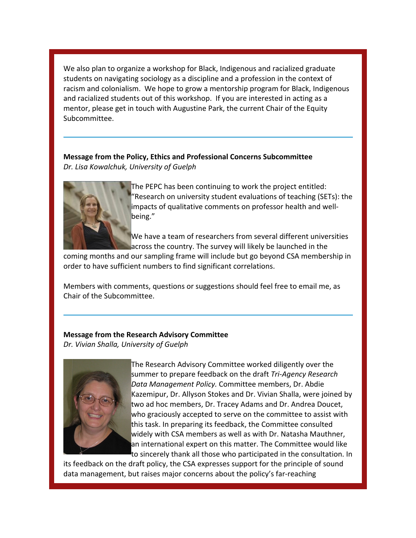We also plan to organize a workshop for Black, Indigenous and racialized graduate students on navigating sociology as a discipline and a profession in the context of racism and colonialism. We hope to grow a mentorship program for Black, Indigenous and racialized students out of this workshop. If you are interested in acting as a mentor, please get in touch with Augustine Park, the current Chair of the Equity Subcommittee.

**Message from the Policy, Ethics and Professional Concerns Subcommittee** *Dr. Lisa Kowalchuk, University of Guelph*



The PEPC has been continuing to work the project entitled: "Research on university student evaluations of teaching (SETs): the impacts of qualitative comments on professor health and wellbeing."

We have a team of researchers from several different universities across the country. The survey will likely be launched in the

coming months and our sampling frame will include but go beyond CSA membership in order to have sufficient numbers to find significant correlations.

Members with comments, questions or suggestions should feel free to email me, as Chair of the Subcommittee.

# **Message from the Research Advisory Committee**

*Dr. Vivian Shalla, University of Guelph*



The Research Advisory Committee worked diligently over the summer to prepare feedback on the draft *Tri-Agency Research Data Management Policy.* Committee members, Dr. Abdie Kazemipur, Dr. Allyson Stokes and Dr. Vivian Shalla, were joined by two ad hoc members, Dr. Tracey Adams and Dr. Andrea Doucet, who graciously accepted to serve on the committee to assist with this task. In preparing its feedback, the Committee consulted widely with CSA members as well as with Dr. Natasha Mauthner, an international expert on this matter. The Committee would like to sincerely thank all those who participated in the consultation. In

its feedback on the draft policy, the CSA expresses support for the principle of sound data management, but raises major concerns about the policy's far-reaching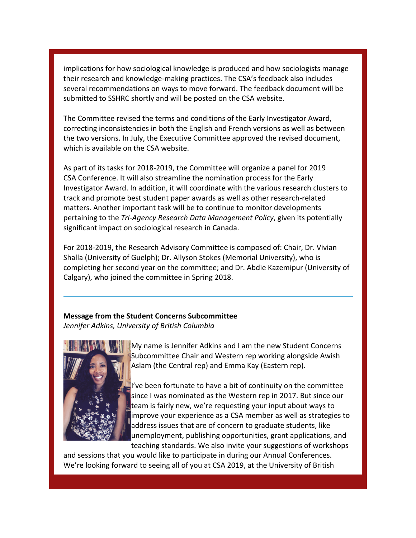implications for how sociological knowledge is produced and how sociologists manage their research and knowledge-making practices. The CSA's feedback also includes several recommendations on ways to move forward. The feedback document will be submitted to SSHRC shortly and will be posted on the CSA website.

The Committee revised the terms and conditions of the Early Investigator Award, correcting inconsistencies in both the English and French versions as well as between the two versions. In July, the Executive Committee approved the revised document, which is available on the CSA website.

As part of its tasks for 2018-2019, the Committee will organize a panel for 2019 CSA Conference. It will also streamline the nomination process for the Early Investigator Award. In addition, it will coordinate with the various research clusters to track and promote best student paper awards as well as other research-related matters. Another important task will be to continue to monitor developments pertaining to the *Tri-Agency Research Data Management Policy*, given its potentially significant impact on sociological research in Canada.

For 2018-2019, the Research Advisory Committee is composed of: Chair, Dr. Vivian Shalla (University of Guelph); Dr. Allyson Stokes (Memorial University), who is completing her second year on the committee; and Dr. Abdie Kazemipur (University of Calgary), who joined the committee in Spring 2018.

## **Message from the Student Concerns Subcommittee** *Jennifer Adkins, University of British Columbia*



My name is Jennifer Adkins and I am the new Student Concerns Subcommittee Chair and Western rep working alongside Awish Aslam (the Central rep) and Emma Kay (Eastern rep).

I've been fortunate to have a bit of continuity on the committee since I was nominated as the Western rep in 2017. But since our team is fairly new, we're requesting your input about ways to **improve your experience as a CSA member as well as strategies to** address issues that are of concern to graduate students, like unemployment, publishing opportunities, grant applications, and teaching standards. We also invite your suggestions of workshops

and sessions that you would like to participate in during our Annual Conferences. We're looking forward to seeing all of you at CSA 2019, at the University of British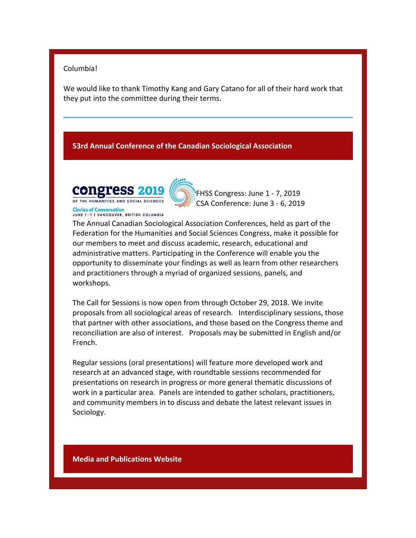## Columbia!

We would like to thank Timothy Kang and Gary Catano for all of their hard work that they put into the committee during their terms.

## **53rd Annual Conference of the Canadian Sociological Association**



**JUNE 1-7 | VANCOUVER, BRITISH COLUMBIA** 

**Circles of Conversation** 

FHSS Congress: June 1 - 7, 2019 CSA Conference: June 3 - 6, 2019

The Annual Canadian Sociological Association Conferences, held as part of the Federation for the Humanities and Social Sciences Congress, make it possible for our members to meet and discuss academic, research, educational and administrative matters. Participating in the Conference will enable you the opportunity to disseminate your findings as well as learn from other researchers and practitioners through a myriad of organized sessions, panels, and workshops.

The Call for Sessions is now open from through October 29, 2018. We invite proposals from all sociological areas of research. Interdisciplinary sessions, those that partner with other associations, and those based on the Congress theme and reconciliation are also of interest. Proposals may be submitted in English and/or French.

Regular sessions (oral presentations) will feature more developed work and research at an advanced stage, with roundtable sessions recommended for presentations on research in progress or more general thematic discussions of work in a particular area. Panels are intended to gather scholars, practitioners, and community members in to discuss and debate the latest relevant issues in Sociology.

**Media and Publications Website**